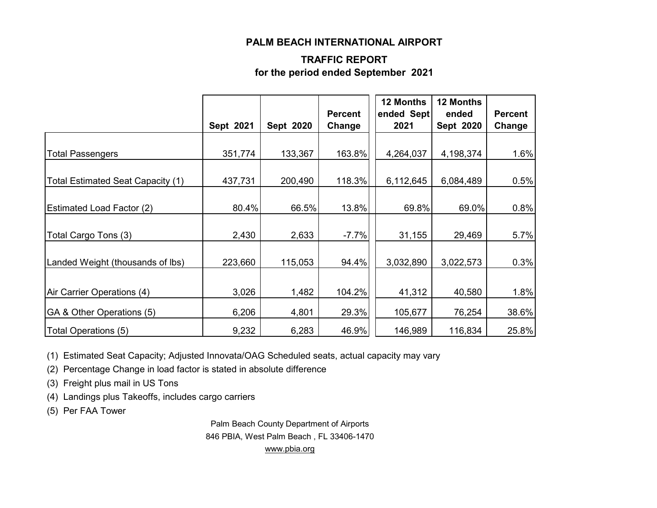#### **PALM BEACH INTERNATIONAL AIRPORT**

#### **TRAFFIC REPORT for the period ended September 2021**

|                                   | Sept 2021 | Sept 2020 | <b>Percent</b><br>Change | 12 Months<br>ended Sept<br>2021 | <b>12 Months</b><br>ended<br>Sept 2020 | <b>Percent</b><br>Change |
|-----------------------------------|-----------|-----------|--------------------------|---------------------------------|----------------------------------------|--------------------------|
|                                   |           |           |                          |                                 |                                        |                          |
| <b>Total Passengers</b>           | 351,774   | 133,367   | 163.8%                   | 4,264,037                       | 4,198,374                              | 1.6%                     |
| Total Estimated Seat Capacity (1) | 437,731   | 200,490   | 118.3%                   | 6,112,645                       | 6,084,489                              | 0.5%                     |
| <b>Estimated Load Factor (2)</b>  | 80.4%     | 66.5%     | 13.8%                    | 69.8%                           | 69.0%                                  | 0.8%                     |
| Total Cargo Tons (3)              | 2,430     | 2,633     | $-7.7%$                  | 31,155                          | 29,469                                 | 5.7%                     |
| Landed Weight (thousands of lbs)  | 223,660   | 115,053   | 94.4%                    | 3,032,890                       | 3,022,573                              | 0.3%                     |
| Air Carrier Operations (4)        | 3,026     | 1,482     | 104.2%                   | 41,312                          | 40,580                                 | 1.8%                     |
| GA & Other Operations (5)         | 6,206     | 4,801     | 29.3%                    | 105,677                         | 76,254                                 | 38.6%                    |
| Total Operations (5)              | 9,232     | 6,283     | 46.9%                    | 146,989                         | 116,834                                | 25.8%                    |

(1) Estimated Seat Capacity; Adjusted Innovata/OAG Scheduled seats, actual capacity may vary

(2) Percentage Change in load factor is stated in absolute difference

(3) Freight plus mail in US Tons

(4) Landings plus Takeoffs, includes cargo carriers

(5) Per FAA Tower

Palm Beach County Department of Airports 846 PBIA, West Palm Beach , FL 33406-1470 [www.pbia.org](http://www.pbia.org/)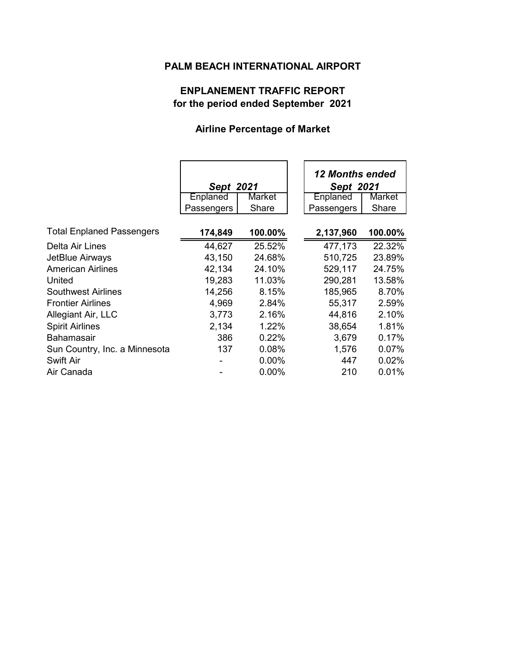## **PALM BEACH INTERNATIONAL AIRPORT**

# **ENPLANEMENT TRAFFIC REPORT for the period ended September 2021**

## **Airline Percentage of Market**

|                                  | Sept 2021  |          | <b>12 Months ended</b><br>Sept 2021 |
|----------------------------------|------------|----------|-------------------------------------|
|                                  | Enplaned   | Market   | Enplaned<br>Market                  |
|                                  | Passengers | Share    | Share<br>Passengers                 |
| <b>Total Enplaned Passengers</b> | 174,849    | 100.00%  | 100.00%<br>2,137,960                |
| Delta Air Lines                  | 44,627     | 25.52%   | 477,173<br>22.32%                   |
| JetBlue Airways                  | 43,150     | 24.68%   | 510,725<br>23.89%                   |
| <b>American Airlines</b>         | 42,134     | 24.10%   | 529,117<br>24.75%                   |
| United                           | 19,283     | 11.03%   | 290,281<br>13.58%                   |
| Southwest Airlines               | 14,256     | 8.15%    | 185,965<br>8.70%                    |
| <b>Frontier Airlines</b>         | 4,969      | 2.84%    | 55,317<br>2.59%                     |
| Allegiant Air, LLC               | 3,773      | 2.16%    | 44,816<br>2.10%                     |
| <b>Spirit Airlines</b>           | 2,134      | 1.22%    | 1.81%<br>38,654                     |
| <b>Bahamasair</b>                | 386        | 0.22%    | 0.17%<br>3,679                      |
| Sun Country, Inc. a Minnesota    | 137        | 0.08%    | 0.07%<br>1,576                      |
| <b>Swift Air</b>                 |            | $0.00\%$ | 0.02%<br>447                        |
| Air Canada                       |            | $0.00\%$ | 210<br>0.01%                        |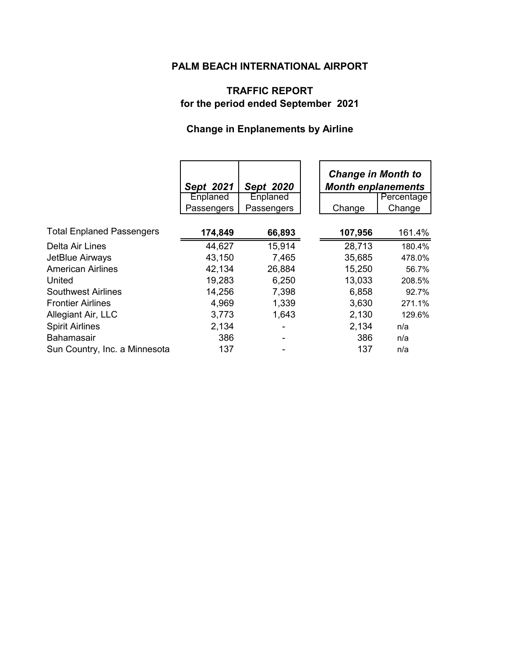# **PALM BEACH INTERNATIONAL AIRPORT**

# **TRAFFIC REPORT for the period ended September 2021**

# **Change in Enplanements by Airline**

|                                  | Sept 2021  | Sept 2020  |         | <b>Change in Month to</b><br><b>Month enplanements</b> |  |
|----------------------------------|------------|------------|---------|--------------------------------------------------------|--|
|                                  | Enplaned   | Enplaned   |         | Percentage                                             |  |
|                                  | Passengers | Passengers | Change  | Change                                                 |  |
| <b>Total Enplaned Passengers</b> | 174,849    | 66,893     | 107,956 | 161.4%                                                 |  |
| <b>Delta Air Lines</b>           | 44,627     | 15,914     | 28,713  | 180.4%                                                 |  |
| JetBlue Airways                  | 43,150     | 7,465      | 35,685  | 478.0%                                                 |  |
| <b>American Airlines</b>         | 42,134     | 26,884     | 15,250  | 56.7%                                                  |  |
| United                           | 19,283     | 6,250      | 13,033  | 208.5%                                                 |  |
| <b>Southwest Airlines</b>        | 14,256     | 7,398      | 6,858   | 92.7%                                                  |  |
| <b>Frontier Airlines</b>         | 4,969      | 1,339      | 3,630   | 271.1%                                                 |  |
| Allegiant Air, LLC               | 3,773      | 1,643      | 2,130   | 129.6%                                                 |  |
| <b>Spirit Airlines</b>           | 2,134      |            | 2,134   | n/a                                                    |  |
| <b>Bahamasair</b>                | 386        |            | 386     | n/a                                                    |  |
| Sun Country, Inc. a Minnesota    | 137        |            | 137     | n/a                                                    |  |